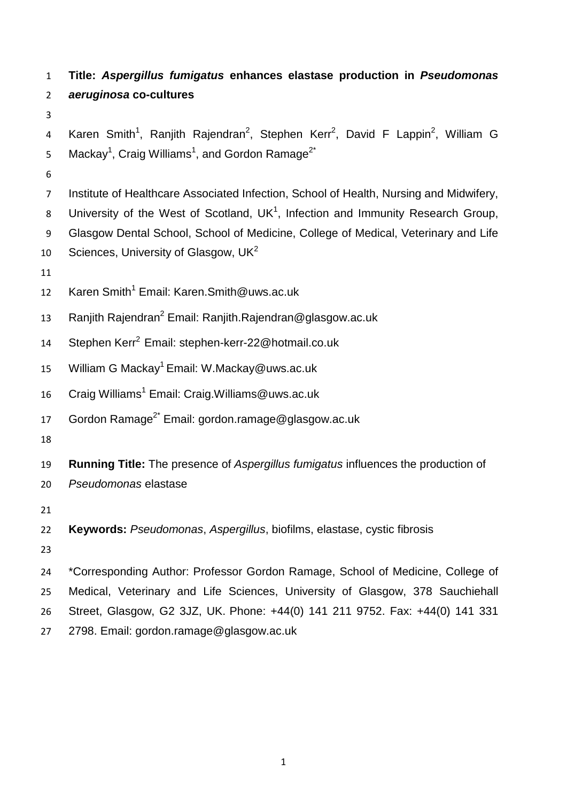**Title:** *Aspergillus fumigatus* **enhances elastase production in** *Pseudomonas aeruginosa* **co-cultures** 4 Karen Smith<sup>1</sup>, Ranjith Rajendran<sup>2</sup>, Stephen Kerr<sup>2</sup>, David F Lappin<sup>2</sup>, William G 5 Mackay<sup>1</sup>, Craig Williams<sup>1</sup>, and Gordon Ramage<sup>2\*</sup> Institute of Healthcare Associated Infection, School of Health, Nursing and Midwifery, 8 University of the West of Scotland,  $UK<sup>1</sup>$ , Infection and Immunity Research Group, Glasgow Dental School, School of Medicine, College of Medical, Veterinary and Life 10 Sciences, University of Glasgow,  $UK<sup>2</sup>$  12 Karen Smith<sup>1</sup> Email: Karen.Smith@uws.ac.uk 13 Ranjith Rajendran<sup>2</sup> Email: Ranjith.Rajendran@glasgow.ac.uk 14 Stephen Kerr<sup>2</sup> Email: stephen-kerr-22@hotmail.co.uk 15 William G Mackay<sup>1</sup> Email: W.Mackay@uws.ac.uk 16 Craig Williams<sup>1</sup> Email: Craig. Williams@uws.ac.uk 17 Gordon Ramage<sup>2\*</sup> Email: gordon.ramage@glasgow.ac.uk **Running Title:** The presence of *Aspergillus fumigatus* influences the production of *Pseudomonas* elastase **Keywords:** *Pseudomonas*, *Aspergillus*, biofilms, elastase, cystic fibrosis \*Corresponding Author: Professor Gordon Ramage, School of Medicine, College of Medical, Veterinary and Life Sciences, University of Glasgow, 378 Sauchiehall Street, Glasgow, G2 3JZ, UK. Phone: +44(0) 141 211 9752. Fax: +44(0) 141 331 2798. Email: gordon.ramage@glasgow.ac.uk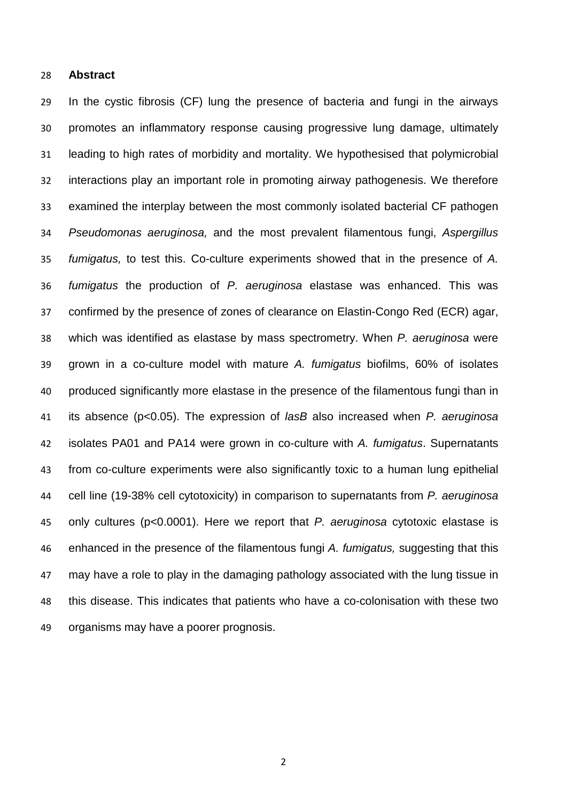## **Abstract**

 In the cystic fibrosis (CF) lung the presence of bacteria and fungi in the airways promotes an inflammatory response causing progressive lung damage, ultimately leading to high rates of morbidity and mortality. We hypothesised that polymicrobial interactions play an important role in promoting airway pathogenesis. We therefore examined the interplay between the most commonly isolated bacterial CF pathogen *Pseudomonas aeruginosa,* and the most prevalent filamentous fungi, *Aspergillus fumigatus,* to test this. Co-culture experiments showed that in the presence of *A. fumigatus* the production of *P. aeruginosa* elastase was enhanced. This was confirmed by the presence of zones of clearance on Elastin-Congo Red (ECR) agar, which was identified as elastase by mass spectrometry. When *P. aeruginosa* were grown in a co-culture model with mature *A. fumigatus* biofilms, 60% of isolates produced significantly more elastase in the presence of the filamentous fungi than in its absence (p<0.05). The expression of *lasB* also increased when *P. aeruginosa* isolates PA01 and PA14 were grown in co-culture with *A. fumigatus*. Supernatants from co-culture experiments were also significantly toxic to a human lung epithelial cell line (19-38% cell cytotoxicity) in comparison to supernatants from *P. aeruginosa* only cultures (p<0.0001). Here we report that *P. aeruginosa* cytotoxic elastase is enhanced in the presence of the filamentous fungi *A. fumigatus,* suggesting that this 47 may have a role to play in the damaging pathology associated with the lung tissue in this disease. This indicates that patients who have a co-colonisation with these two organisms may have a poorer prognosis.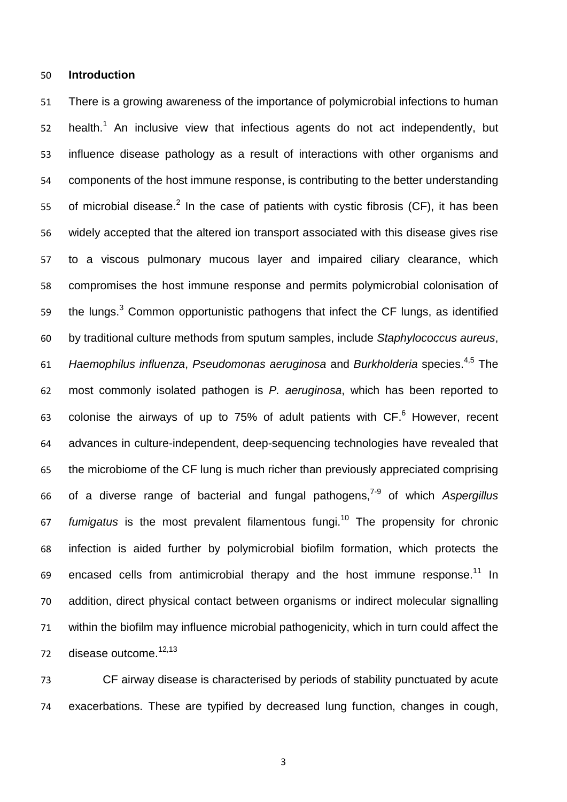## **Introduction**

 There is a growing awareness of the importance of polymicrobial infections to human 52 health.<sup>1</sup> An inclusive view that infectious agents do not act independently, but influence disease pathology as a result of interactions with other organisms and components of the host immune response, is contributing to the better understanding 55 of microbial disease.<sup>2</sup> In the case of patients with cystic fibrosis (CF), it has been widely accepted that the altered ion transport associated with this disease gives rise to a viscous pulmonary mucous layer and impaired ciliary clearance, which compromises the host immune response and permits polymicrobial colonisation of the lungs.<sup>3</sup> Common opportunistic pathogens that infect the CF lungs, as identified by traditional culture methods from sputum samples, include *Staphylococcus aureus*, 61 Haemophilus influenza, Pseudomonas aeruginosa and Burkholderia species.<sup>4,5</sup> The most commonly isolated pathogen is *P. aeruginosa*, which has been reported to 63 colonise the airways of up to  $75%$  of adult patients with  $CF.<sup>6</sup>$  However, recent advances in culture-independent, deep-sequencing technologies have revealed that the microbiome of the CF lung is much richer than previously appreciated comprising of a diverse range of bacterial and fungal pathogens, 7-9 of which *Aspergillus*  67 fumigatus is the most prevalent filamentous fungi.<sup>10</sup> The propensity for chronic infection is aided further by polymicrobial biofilm formation, which protects the 69 encased cells from antimicrobial therapy and the host immune response.<sup>11</sup> In addition, direct physical contact between organisms or indirect molecular signalling within the biofilm may influence microbial pathogenicity, which in turn could affect the 72 disease outcome.<sup>12,13</sup>

 CF airway disease is characterised by periods of stability punctuated by acute exacerbations. These are typified by decreased lung function, changes in cough,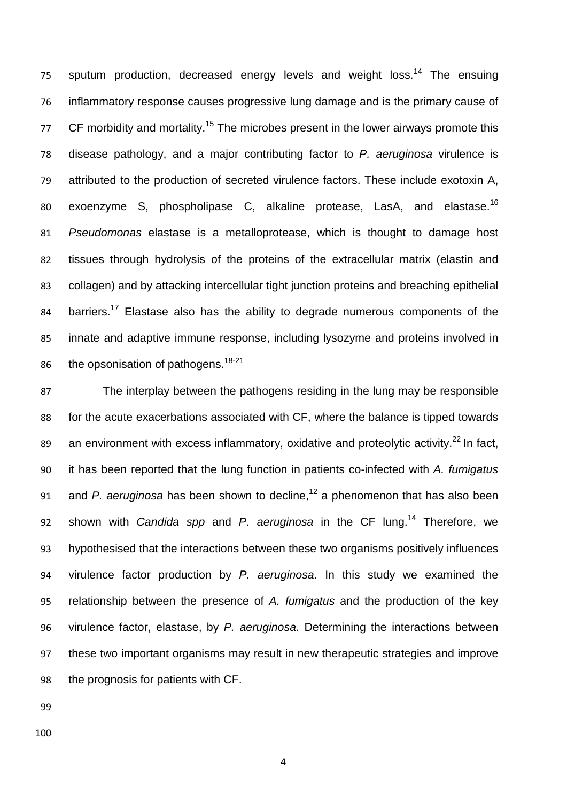75 sputum production, decreased energy levels and weight loss.<sup>14</sup> The ensuing inflammatory response causes progressive lung damage and is the primary cause of 77 CF morbidity and mortality.<sup>15</sup> The microbes present in the lower airways promote this disease pathology, and a major contributing factor to *P. aeruginosa* virulence is attributed to the production of secreted virulence factors. These include exotoxin A, 80 exoenzyme S, phospholipase C, alkaline protease, LasA, and elastase.<sup>16</sup> *Pseudomonas* elastase is a metalloprotease, which is thought to damage host tissues through hydrolysis of the proteins of the extracellular matrix (elastin and collagen) and by attacking intercellular tight junction proteins and breaching epithelial 84 barriers.<sup>17</sup> Elastase also has the ability to degrade numerous components of the innate and adaptive immune response, including lysozyme and proteins involved in 86 the opsonisation of pathogens.<sup>18-21</sup>

 The interplay between the pathogens residing in the lung may be responsible for the acute exacerbations associated with CF, where the balance is tipped towards 89 an environment with excess inflammatory, oxidative and proteolytic activity.<sup>22</sup> In fact, it has been reported that the lung function in patients co-infected with *A. fumigatus*  91 and *P. aeruginosa* has been shown to decline,<sup>12</sup> a phenomenon that has also been 92 shown with *Candida spp* and *P. aeruginosa* in the CF lung.<sup>14</sup> Therefore, we hypothesised that the interactions between these two organisms positively influences virulence factor production by *P. aeruginosa*. In this study we examined the relationship between the presence of *A. fumigatus* and the production of the key virulence factor, elastase, by *P. aeruginosa*. Determining the interactions between these two important organisms may result in new therapeutic strategies and improve the prognosis for patients with CF.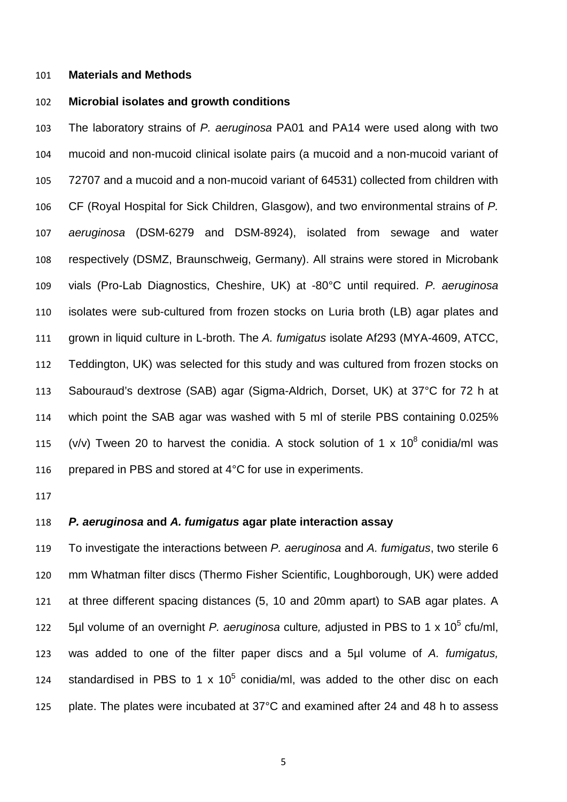#### **Materials and Methods**

# **Microbial isolates and growth conditions**

 The laboratory strains of *P. aeruginosa* PA01 and PA14 were used along with two mucoid and non-mucoid clinical isolate pairs (a mucoid and a non-mucoid variant of 72707 and a mucoid and a non-mucoid variant of 64531) collected from children with CF (Royal Hospital for Sick Children, Glasgow), and two environmental strains of *P. aeruginosa* (DSM-6279 and DSM-8924), isolated from sewage and water respectively (DSMZ, Braunschweig, Germany). All strains were stored in Microbank vials (Pro-Lab Diagnostics, Cheshire, UK) at -80°C until required. *P. aeruginosa* isolates were sub-cultured from frozen stocks on Luria broth (LB) agar plates and grown in liquid culture in L-broth. The *A. fumigatus* isolate Af293 (MYA-4609, ATCC, Teddington, UK) was selected for this study and was cultured from frozen stocks on Sabouraud's dextrose (SAB) agar (Sigma-Aldrich, Dorset, UK) at 37°C for 72 h at which point the SAB agar was washed with 5 ml of sterile PBS containing 0.025% 115 (v/v) Tween 20 to harvest the conidia. A stock solution of 1 x  $10^8$  conidia/ml was 116 prepared in PBS and stored at 4°C for use in experiments.

## *P. aeruginosa* **and** *A. fumigatus* **agar plate interaction assay**

 To investigate the interactions between *P. aeruginosa* and *A. fumigatus*, two sterile 6 mm Whatman filter discs (Thermo Fisher Scientific, Loughborough, UK) were added at three different spacing distances (5, 10 and 20mm apart) to SAB agar plates. A 5µl volume of an overnight *P. aeruginosa* culture, adjusted in PBS to 1 x 10<sup>5</sup> cfu/ml, was added to one of the filter paper discs and a 5µl volume of *A. fumigatus,* 124 standardised in PBS to 1 x  $10^5$  conidia/ml, was added to the other disc on each plate. The plates were incubated at 37°C and examined after 24 and 48 h to assess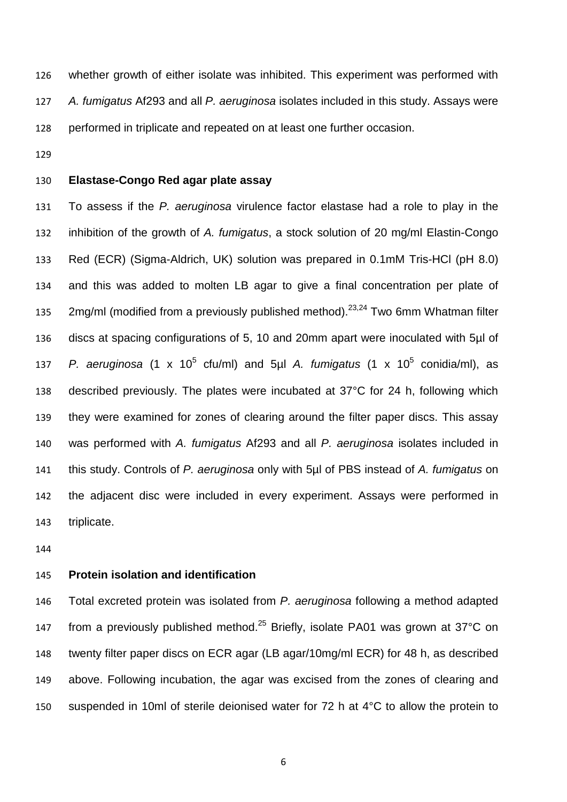whether growth of either isolate was inhibited. This experiment was performed with *A. fumigatus* Af293 and all *P. aeruginosa* isolates included in this study. Assays were performed in triplicate and repeated on at least one further occasion.

# **Elastase-Congo Red agar plate assay**

 To assess if the *P. aeruginosa* virulence factor elastase had a role to play in the inhibition of the growth of *A. fumigatus*, a stock solution of 20 mg/ml Elastin-Congo Red (ECR) (Sigma-Aldrich, UK) solution was prepared in 0.1mM Tris-HCl (pH 8.0) and this was added to molten LB agar to give a final concentration per plate of mg/ml (modified from a previously published method).<sup>23,24</sup> Two 6mm Whatman filter discs at spacing configurations of 5, 10 and 20mm apart were inoculated with 5µl of *P. aeruginosa* (1 x 10<sup>5</sup> cfu/ml) and 5ul *A. fumigatus* (1 x 10<sup>5</sup> conidia/ml), as described previously. The plates were incubated at 37°C for 24 h, following which they were examined for zones of clearing around the filter paper discs. This assay was performed with *A. fumigatus* Af293 and all *P. aeruginosa* isolates included in this study. Controls of *P. aeruginosa* only with 5µl of PBS instead of *A. fumigatus* on the adjacent disc were included in every experiment. Assays were performed in triplicate.

# **Protein isolation and identification**

 Total excreted protein was isolated from *P. aeruginosa* following a method adapted 147 from a previously published method.<sup>25</sup> Briefly, isolate PA01 was grown at 37°C on twenty filter paper discs on ECR agar (LB agar/10mg/ml ECR) for 48 h, as described above. Following incubation, the agar was excised from the zones of clearing and suspended in 10ml of sterile deionised water for 72 h at 4°C to allow the protein to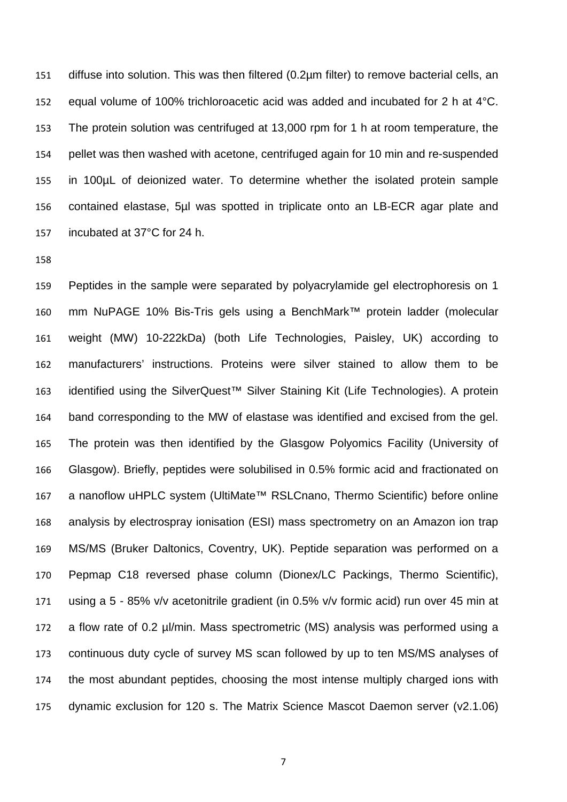diffuse into solution. This was then filtered (0.2µm filter) to remove bacterial cells, an equal volume of 100% trichloroacetic acid was added and incubated for 2 h at 4°C. The protein solution was centrifuged at 13,000 rpm for 1 h at room temperature, the pellet was then washed with acetone, centrifuged again for 10 min and re-suspended in 100µL of deionized water. To determine whether the isolated protein sample contained elastase, 5µl was spotted in triplicate onto an LB-ECR agar plate and incubated at 37°C for 24 h.

 Peptides in the sample were separated by polyacrylamide gel electrophoresis on 1 mm NuPAGE 10% Bis-Tris gels using a BenchMark™ protein ladder (molecular weight (MW) 10-222kDa) (both Life Technologies, Paisley, UK) according to manufacturers' instructions. Proteins were silver stained to allow them to be identified using the SilverQuest™ Silver Staining Kit (Life Technologies). A protein band corresponding to the MW of elastase was identified and excised from the gel. The protein was then identified by the Glasgow Polyomics Facility (University of Glasgow). Briefly, peptides were solubilised in 0.5% formic acid and fractionated on a nanoflow uHPLC system (UltiMate™ RSLCnano, Thermo Scientific) before online analysis by electrospray ionisation (ESI) mass spectrometry on an Amazon ion trap MS/MS (Bruker Daltonics, Coventry, UK). Peptide separation was performed on a Pepmap C18 reversed phase column (Dionex/LC Packings, Thermo Scientific), using a 5 - 85% v/v acetonitrile gradient (in 0.5% v/v formic acid) run over 45 min at a flow rate of 0.2 µl/min. Mass spectrometric (MS) analysis was performed using a continuous duty cycle of survey MS scan followed by up to ten MS/MS analyses of the most abundant peptides, choosing the most intense multiply charged ions with dynamic exclusion for 120 s. The Matrix Science Mascot Daemon server (v2.1.06)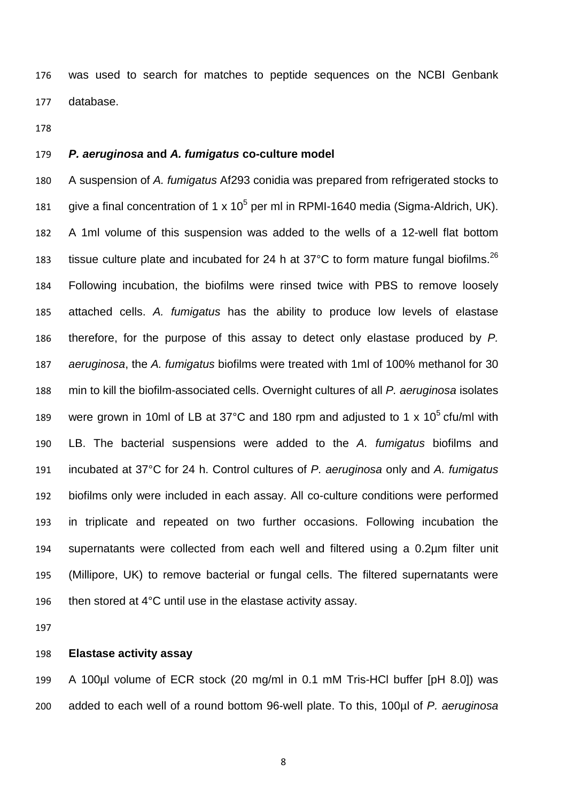was used to search for matches to peptide sequences on the NCBI Genbank database.

# *P. aeruginosa* **and** *A. fumigatus* **co-culture model**

 A suspension of *A. fumigatus* Af293 conidia was prepared from refrigerated stocks to 181 give a final concentration of 1 x 10<sup>5</sup> per ml in RPMI-1640 media (Sigma-Aldrich, UK). A 1ml volume of this suspension was added to the wells of a 12-well flat bottom 183 tissue culture plate and incubated for 24 h at 37°C to form mature fungal biofilms.<sup>26</sup> Following incubation, the biofilms were rinsed twice with PBS to remove loosely attached cells. *A. fumigatus* has the ability to produce low levels of elastase therefore, for the purpose of this assay to detect only elastase produced by *P. aeruginosa*, the *A. fumigatus* biofilms were treated with 1ml of 100% methanol for 30 min to kill the biofilm-associated cells. Overnight cultures of all *P. aeruginosa* isolates 189 were grown in 10ml of LB at 37°C and 180 rpm and adjusted to 1 x 10 $<sup>5</sup>$  cfu/ml with</sup> LB. The bacterial suspensions were added to the *A. fumigatus* biofilms and incubated at 37°C for 24 h. Control cultures of *P. aeruginosa* only and *A. fumigatus* biofilms only were included in each assay. All co-culture conditions were performed in triplicate and repeated on two further occasions. Following incubation the supernatants were collected from each well and filtered using a 0.2µm filter unit (Millipore, UK) to remove bacterial or fungal cells. The filtered supernatants were then stored at 4°C until use in the elastase activity assay.

# **Elastase activity assay**

 A 100µl volume of ECR stock (20 mg/ml in 0.1 mM Tris-HCl buffer [pH 8.0]) was added to each well of a round bottom 96-well plate. To this, 100µl of *P. aeruginosa*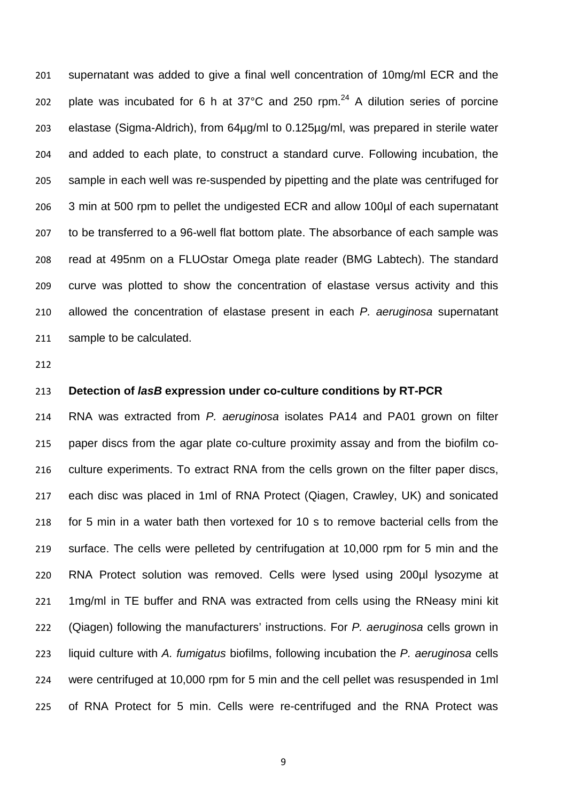supernatant was added to give a final well concentration of 10mg/ml ECR and the 202 plate was incubated for 6 h at  $37^{\circ}$ C and 250 rpm.<sup>24</sup> A dilution series of porcine elastase (Sigma-Aldrich), from 64µg/ml to 0.125µg/ml, was prepared in sterile water and added to each plate, to construct a standard curve. Following incubation, the sample in each well was re-suspended by pipetting and the plate was centrifuged for 3 min at 500 rpm to pellet the undigested ECR and allow 100µl of each supernatant to be transferred to a 96-well flat bottom plate. The absorbance of each sample was read at 495nm on a FLUOstar Omega plate reader (BMG Labtech). The standard curve was plotted to show the concentration of elastase versus activity and this allowed the concentration of elastase present in each *P. aeruginosa* supernatant sample to be calculated.

# **Detection of** *lasB* **expression under co-culture conditions by RT-PCR**

 RNA was extracted from *P. aeruginosa* isolates PA14 and PA01 grown on filter paper discs from the agar plate co-culture proximity assay and from the biofilm co- culture experiments. To extract RNA from the cells grown on the filter paper discs, each disc was placed in 1ml of RNA Protect (Qiagen, Crawley, UK) and sonicated for 5 min in a water bath then vortexed for 10 s to remove bacterial cells from the surface. The cells were pelleted by centrifugation at 10,000 rpm for 5 min and the RNA Protect solution was removed. Cells were lysed using 200µl lysozyme at 1mg/ml in TE buffer and RNA was extracted from cells using the RNeasy mini kit (Qiagen) following the manufacturers' instructions. For *P. aeruginosa* cells grown in liquid culture with *A. fumigatus* biofilms, following incubation the *P. aeruginosa* cells were centrifuged at 10,000 rpm for 5 min and the cell pellet was resuspended in 1ml of RNA Protect for 5 min. Cells were re-centrifuged and the RNA Protect was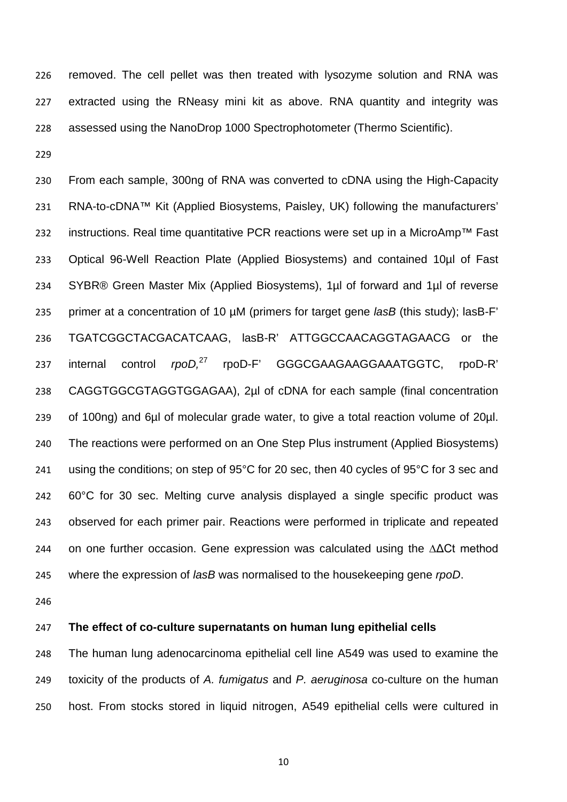removed. The cell pellet was then treated with lysozyme solution and RNA was extracted using the RNeasy mini kit as above. RNA quantity and integrity was assessed using the NanoDrop 1000 Spectrophotometer (Thermo Scientific).

 From each sample, 300ng of RNA was converted to cDNA using the High-Capacity RNA-to-cDNA™ Kit (Applied Biosystems, Paisley, UK) following the manufacturers' instructions. Real time quantitative PCR reactions were set up in a MicroAmp™ Fast Optical 96-Well Reaction Plate (Applied Biosystems) and contained 10µl of Fast SYBR® Green Master Mix (Applied Biosystems), 1µl of forward and 1µl of reverse primer at a concentration of 10 µM (primers for target gene *lasB* (this study); lasB-F' TGATCGGCTACGACATCAAG, lasB-R' ATTGGCCAACAGGTAGAACG or the  $internal$  control 237 internal control rpoD,<sup>27</sup> rpoD-F' GGGCGAAGAAGGAAATGGTC, rpoD-R' CAGGTGGCGTAGGTGGAGAA), 2µl of cDNA for each sample (final concentration of 100ng) and 6µl of molecular grade water, to give a total reaction volume of 20µl. The reactions were performed on an One Step Plus instrument (Applied Biosystems) using the conditions; on step of 95°C for 20 sec, then 40 cycles of 95°C for 3 sec and 60°C for 30 sec. Melting curve analysis displayed a single specific product was observed for each primer pair. Reactions were performed in triplicate and repeated on one further occasion. Gene expression was calculated using the ∆ΔCt method where the expression of *lasB* was normalised to the housekeeping gene *rpoD*.

# **The effect of co-culture supernatants on human lung epithelial cells**

 The human lung adenocarcinoma epithelial cell line A549 was used to examine the toxicity of the products of *A. fumigatus* and *P. aeruginosa* co-culture on the human host. From stocks stored in liquid nitrogen, A549 epithelial cells were cultured in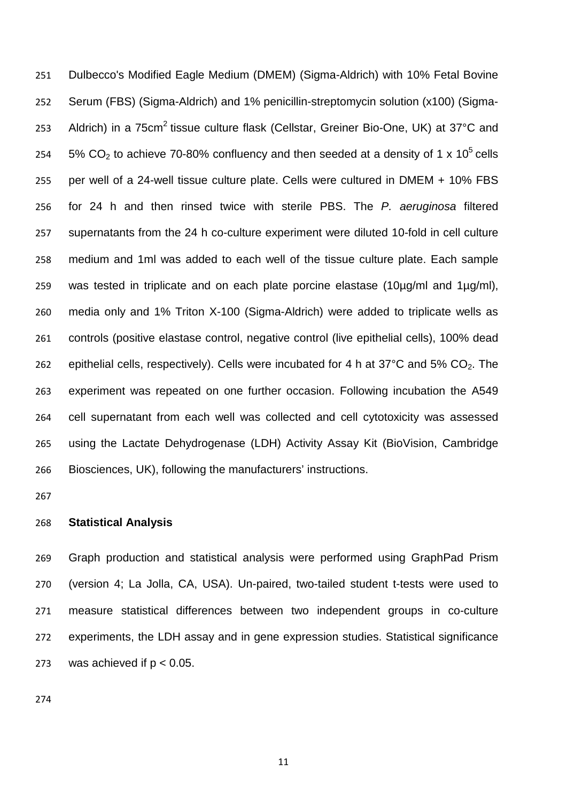Dulbecco's Modified Eagle Medium (DMEM) (Sigma-Aldrich) with 10% Fetal Bovine Serum (FBS) (Sigma-Aldrich) and 1% penicillin-streptomycin solution (x100) (Sigma-253 Aldrich) in a 75cm<sup>2</sup> tissue culture flask (Cellstar, Greiner Bio-One, UK) at 37°C and 254 5% CO<sub>2</sub> to achieve 70-80% confluency and then seeded at a density of 1 x 10<sup>5</sup> cells per well of a 24-well tissue culture plate. Cells were cultured in DMEM + 10% FBS for 24 h and then rinsed twice with sterile PBS. The *P. aeruginosa* filtered supernatants from the 24 h co-culture experiment were diluted 10-fold in cell culture medium and 1ml was added to each well of the tissue culture plate. Each sample was tested in triplicate and on each plate porcine elastase (10µg/ml and 1µg/ml), media only and 1% Triton X-100 (Sigma-Aldrich) were added to triplicate wells as controls (positive elastase control, negative control (live epithelial cells), 100% dead 262 epithelial cells, respectively). Cells were incubated for 4 h at 37 $\degree$ C and 5% CO<sub>2</sub>. The experiment was repeated on one further occasion. Following incubation the A549 cell supernatant from each well was collected and cell cytotoxicity was assessed using the Lactate Dehydrogenase (LDH) Activity Assay Kit (BioVision, Cambridge Biosciences, UK), following the manufacturers' instructions.

## **Statistical Analysis**

 Graph production and statistical analysis were performed using GraphPad Prism (version 4; La Jolla, CA, USA). Un-paired, two-tailed student t-tests were used to measure statistical differences between two independent groups in co-culture experiments, the LDH assay and in gene expression studies. Statistical significance 273 was achieved if  $p < 0.05$ .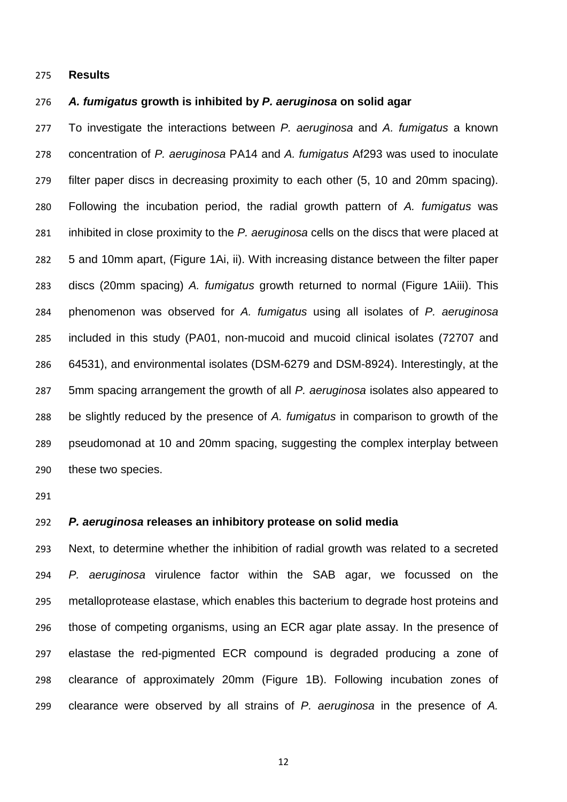#### **Results**

#### *A. fumigatus* **growth is inhibited by** *P. aeruginosa* **on solid agar**

 To investigate the interactions between *P. aeruginosa* and *A. fumigatus* a known concentration of *P. aeruginosa* PA14 and *A. fumigatus* Af293 was used to inoculate filter paper discs in decreasing proximity to each other (5, 10 and 20mm spacing). Following the incubation period, the radial growth pattern of *A. fumigatus* was inhibited in close proximity to the *P. aeruginosa* cells on the discs that were placed at 5 and 10mm apart, (Figure 1Ai, ii). With increasing distance between the filter paper discs (20mm spacing) *A. fumigatus* growth returned to normal (Figure 1Aiii). This phenomenon was observed for *A. fumigatus* using all isolates of *P. aeruginosa* included in this study (PA01, non-mucoid and mucoid clinical isolates (72707 and 64531), and environmental isolates (DSM-6279 and DSM-8924). Interestingly, at the 5mm spacing arrangement the growth of all *P. aeruginosa* isolates also appeared to be slightly reduced by the presence of *A. fumigatus* in comparison to growth of the pseudomonad at 10 and 20mm spacing, suggesting the complex interplay between these two species.

## *P. aeruginosa* **releases an inhibitory protease on solid media**

 Next, to determine whether the inhibition of radial growth was related to a secreted *P. aeruginosa* virulence factor within the SAB agar, we focussed on the metalloprotease elastase, which enables this bacterium to degrade host proteins and those of competing organisms, using an ECR agar plate assay. In the presence of elastase the red-pigmented ECR compound is degraded producing a zone of clearance of approximately 20mm (Figure 1B). Following incubation zones of clearance were observed by all strains of *P. aeruginosa* in the presence of *A.*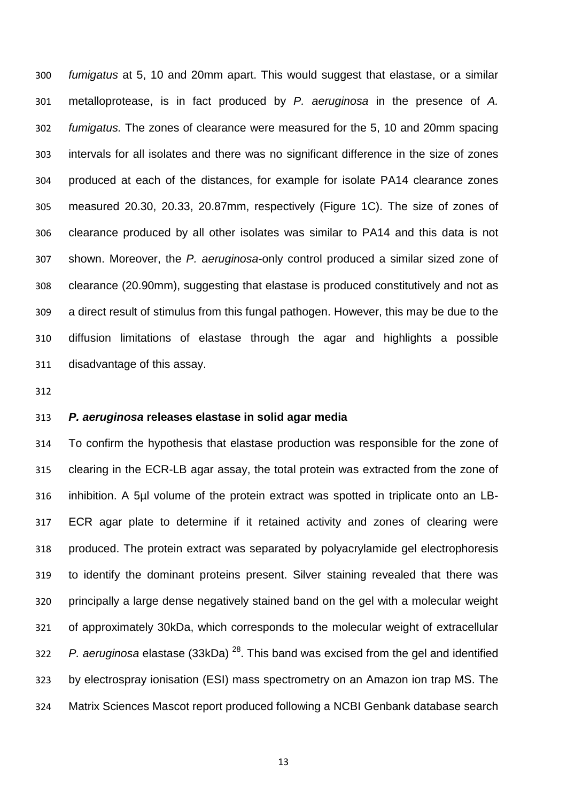*fumigatus* at 5, 10 and 20mm apart. This would suggest that elastase, or a similar metalloprotease, is in fact produced by *P. aeruginosa* in the presence of *A. fumigatus.* The zones of clearance were measured for the 5, 10 and 20mm spacing intervals for all isolates and there was no significant difference in the size of zones produced at each of the distances, for example for isolate PA14 clearance zones measured 20.30, 20.33, 20.87mm, respectively (Figure 1C). The size of zones of clearance produced by all other isolates was similar to PA14 and this data is not shown. Moreover, the *P. aeruginosa*-only control produced a similar sized zone of clearance (20.90mm), suggesting that elastase is produced constitutively and not as a direct result of stimulus from this fungal pathogen. However, this may be due to the diffusion limitations of elastase through the agar and highlights a possible disadvantage of this assay.

## *P. aeruginosa* **releases elastase in solid agar media**

 To confirm the hypothesis that elastase production was responsible for the zone of clearing in the ECR-LB agar assay, the total protein was extracted from the zone of inhibition. A 5µl volume of the protein extract was spotted in triplicate onto an LB- ECR agar plate to determine if it retained activity and zones of clearing were produced. The protein extract was separated by polyacrylamide gel electrophoresis to identify the dominant proteins present. Silver staining revealed that there was principally a large dense negatively stained band on the gel with a molecular weight of approximately 30kDa, which corresponds to the molecular weight of extracellular  $P$ . aeruginosa elastase (33kDa)<sup>28</sup>. This band was excised from the gel and identified by electrospray ionisation (ESI) mass spectrometry on an Amazon ion trap MS. The Matrix Sciences Mascot report produced following a NCBI Genbank database search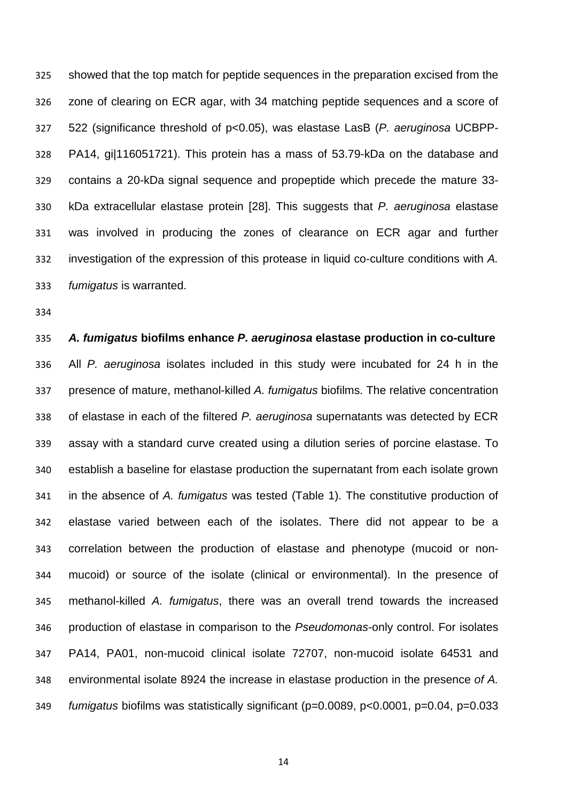showed that the top match for peptide sequences in the preparation excised from the zone of clearing on ECR agar, with 34 matching peptide sequences and a score of 522 (significance threshold of p<0.05), was elastase LasB (*P. aeruginosa* UCBPP- PA14, gi|116051721). This protein has a mass of 53.79-kDa on the database and contains a 20-kDa signal sequence and propeptide which precede the mature 33- kDa extracellular elastase protein [28]. This suggests that *P. aeruginosa* elastase was involved in producing the zones of clearance on ECR agar and further investigation of the expression of this protease in liquid co-culture conditions with *A. fumigatus* is warranted.

# *A. fumigatus* **biofilms enhance** *P. aeruginosa* **elastase production in co-culture** All *P. aeruginosa* isolates included in this study were incubated for 24 h in the presence of mature, methanol-killed *A. fumigatus* biofilms. The relative concentration of elastase in each of the filtered *P. aeruginosa* supernatants was detected by ECR assay with a standard curve created using a dilution series of porcine elastase. To establish a baseline for elastase production the supernatant from each isolate grown in the absence of *A. fumigatus* was tested (Table 1). The constitutive production of elastase varied between each of the isolates. There did not appear to be a correlation between the production of elastase and phenotype (mucoid or non- mucoid) or source of the isolate (clinical or environmental). In the presence of methanol-killed *A. fumigatus*, there was an overall trend towards the increased production of elastase in comparison to the *Pseudomonas*-only control. For isolates PA14, PA01, non-mucoid clinical isolate 72707, non-mucoid isolate 64531 and environmental isolate 8924 the increase in elastase production in the presence *of A. fumigatus* biofilms was statistically significant (p=0.0089, p<0.0001, p=0.04, p=0.033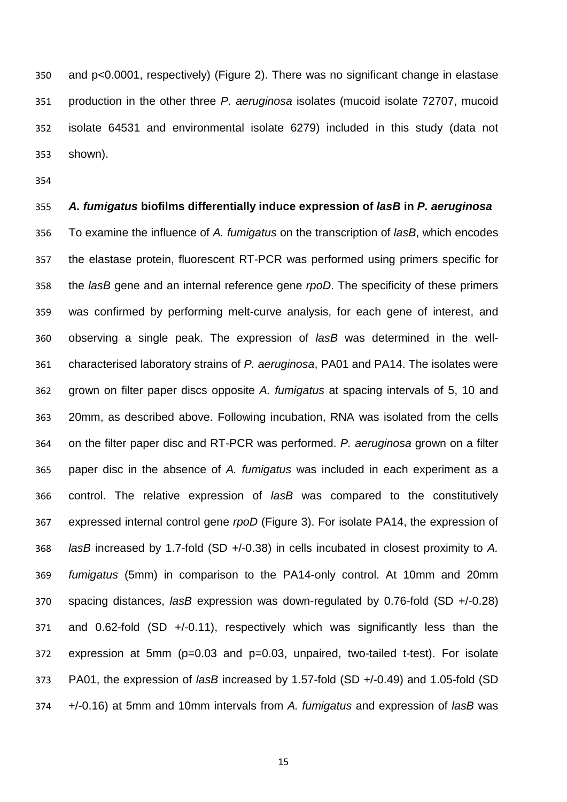and p<0.0001, respectively) (Figure 2). There was no significant change in elastase production in the other three *P. aeruginosa* isolates (mucoid isolate 72707, mucoid isolate 64531 and environmental isolate 6279) included in this study (data not shown).

 *A. fumigatus* **biofilms differentially induce expression of** *lasB* **in** *P. aeruginosa* To examine the influence of *A. fumigatus* on the transcription of *lasB*, which encodes the elastase protein, fluorescent RT-PCR was performed using primers specific for the *lasB* gene and an internal reference gene *rpoD*. The specificity of these primers was confirmed by performing melt-curve analysis, for each gene of interest, and observing a single peak. The expression of *lasB* was determined in the well- characterised laboratory strains of *P. aeruginosa*, PA01 and PA14. The isolates were grown on filter paper discs opposite *A. fumigatus* at spacing intervals of 5, 10 and 20mm, as described above. Following incubation, RNA was isolated from the cells on the filter paper disc and RT-PCR was performed. *P. aeruginosa* grown on a filter paper disc in the absence of *A. fumigatus* was included in each experiment as a control. The relative expression of *lasB* was compared to the constitutively expressed internal control gene *rpoD* (Figure 3). For isolate PA14, the expression of *lasB* increased by 1.7-fold (SD +/-0.38) in cells incubated in closest proximity to *A. fumigatus* (5mm) in comparison to the PA14-only control. At 10mm and 20mm spacing distances, *lasB* expression was down-regulated by 0.76-fold (SD +/-0.28) and 0.62-fold (SD +/-0.11), respectively which was significantly less than the expression at 5mm (p=0.03 and p=0.03, unpaired, two-tailed t-test). For isolate PA01, the expression of *lasB* increased by 1.57-fold (SD +/-0.49) and 1.05-fold (SD +/-0.16) at 5mm and 10mm intervals from *A. fumigatus* and expression of *lasB* was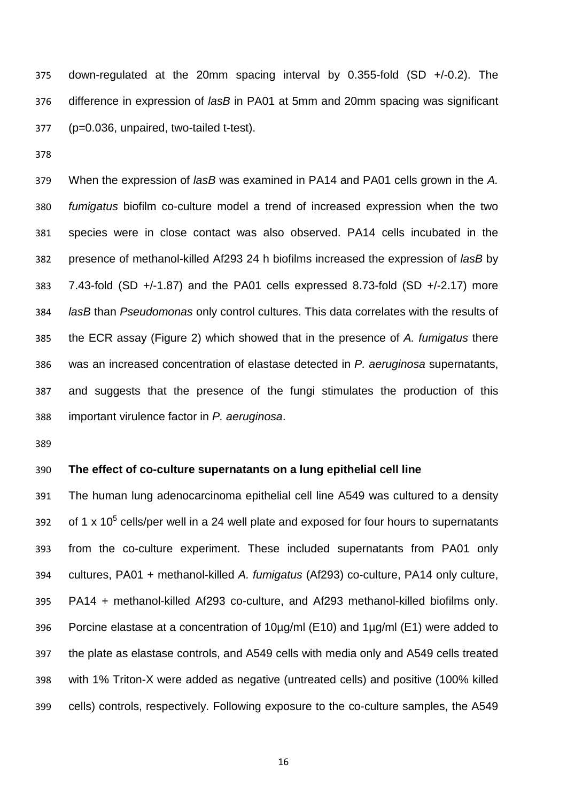down-regulated at the 20mm spacing interval by 0.355-fold (SD +/-0.2). The difference in expression of *lasB* in PA01 at 5mm and 20mm spacing was significant (p=0.036, unpaired, two-tailed t-test).

 When the expression of *lasB* was examined in PA14 and PA01 cells grown in the *A. fumigatus* biofilm co-culture model a trend of increased expression when the two species were in close contact was also observed. PA14 cells incubated in the presence of methanol-killed Af293 24 h biofilms increased the expression of *lasB* by 7.43-fold (SD +/-1.87) and the PA01 cells expressed 8.73-fold (SD +/-2.17) more *lasB* than *Pseudomonas* only control cultures. This data correlates with the results of the ECR assay (Figure 2) which showed that in the presence of *A. fumigatus* there was an increased concentration of elastase detected in *P. aeruginosa* supernatants, and suggests that the presence of the fungi stimulates the production of this important virulence factor in *P. aeruginosa*.

## **The effect of co-culture supernatants on a lung epithelial cell line**

 The human lung adenocarcinoma epithelial cell line A549 was cultured to a density 392 of 1 x  $10^5$  cells/per well in a 24 well plate and exposed for four hours to supernatants from the co-culture experiment. These included supernatants from PA01 only cultures, PA01 + methanol-killed *A. fumigatus* (Af293) co-culture, PA14 only culture, PA14 + methanol-killed Af293 co-culture, and Af293 methanol-killed biofilms only. Porcine elastase at a concentration of 10µg/ml (E10) and 1µg/ml (E1) were added to the plate as elastase controls, and A549 cells with media only and A549 cells treated with 1% Triton-X were added as negative (untreated cells) and positive (100% killed cells) controls, respectively. Following exposure to the co-culture samples, the A549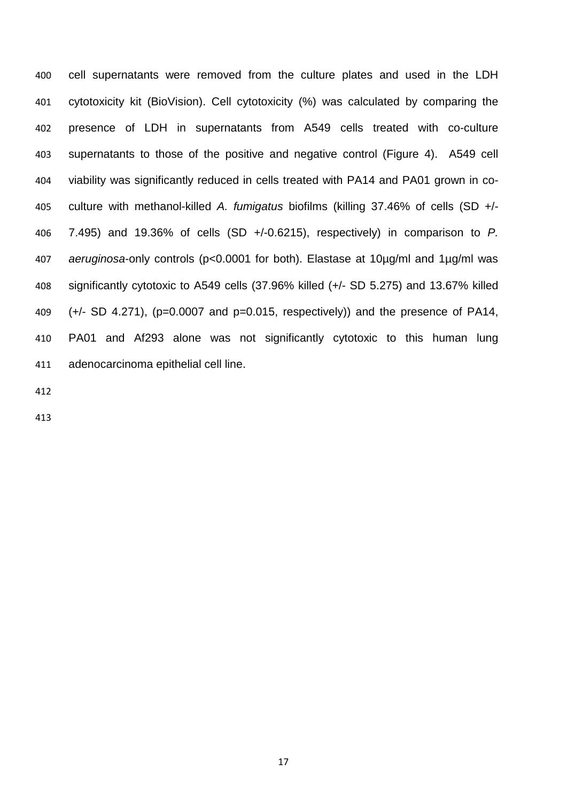cell supernatants were removed from the culture plates and used in the LDH cytotoxicity kit (BioVision). Cell cytotoxicity (%) was calculated by comparing the presence of LDH in supernatants from A549 cells treated with co-culture supernatants to those of the positive and negative control (Figure 4). A549 cell viability was significantly reduced in cells treated with PA14 and PA01 grown in co- culture with methanol-killed *A. fumigatus* biofilms (killing 37.46% of cells (SD +/- 7.495) and 19.36% of cells (SD +/-0.6215), respectively) in comparison to *P. aeruginosa*-only controls (p<0.0001 for both). Elastase at 10µg/ml and 1µg/ml was significantly cytotoxic to A549 cells (37.96% killed (+/- SD 5.275) and 13.67% killed  $(+/- SD 4.271)$ , (p=0.0007 and p=0.015, respectively)) and the presence of PA14, PA01 and Af293 alone was not significantly cytotoxic to this human lung adenocarcinoma epithelial cell line.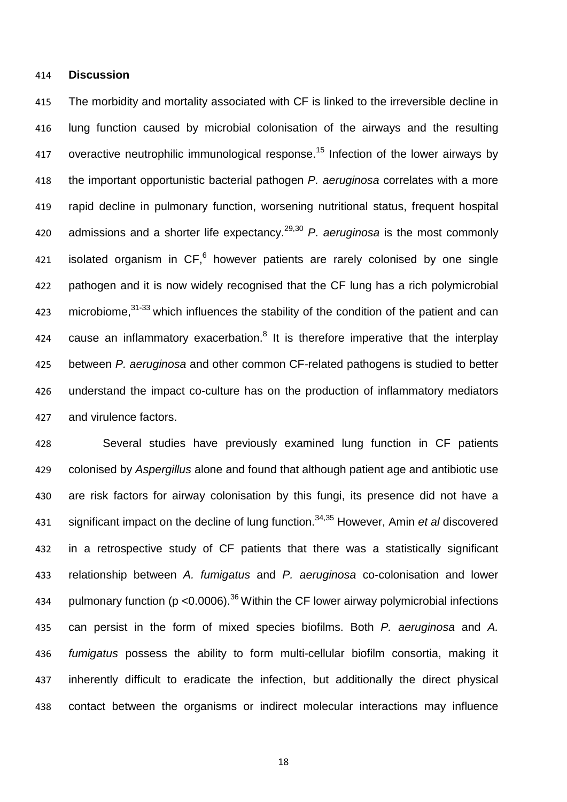#### **Discussion**

 The morbidity and mortality associated with CF is linked to the irreversible decline in lung function caused by microbial colonisation of the airways and the resulting 417 overactive neutrophilic immunological response.<sup>15</sup> Infection of the lower airways by the important opportunistic bacterial pathogen *P. aeruginosa* correlates with a more rapid decline in pulmonary function, worsening nutritional status, frequent hospital admissions and a shorter life expectancy. 29,30 *P. aeruginosa* is the most commonly 421 isolated organism in  $CF,^6$  however patients are rarely colonised by one single pathogen and it is now widely recognised that the CF lung has a rich polymicrobial 423 microbiome,<sup>31-33</sup> which influences the stability of the condition of the patient and can 424 cause an inflammatory exacerbation. $8$  It is therefore imperative that the interplay between *P. aeruginosa* and other common CF-related pathogens is studied to better understand the impact co-culture has on the production of inflammatory mediators and virulence factors.

 Several studies have previously examined lung function in CF patients colonised by *Aspergillus* alone and found that although patient age and antibiotic use are risk factors for airway colonisation by this fungi, its presence did not have a 431 significant impact on the decline of lung function.<sup>34,35</sup> However, Amin *et al* discovered in a retrospective study of CF patients that there was a statistically significant relationship between *A. fumigatus* and *P. aeruginosa* co-colonisation and lower 434 pulmonary function ( $p < 0.0006$ ).<sup>36</sup> Within the CF lower airway polymicrobial infections can persist in the form of mixed species biofilms. Both *P. aeruginosa* and *A. fumigatus* possess the ability to form multi-cellular biofilm consortia, making it inherently difficult to eradicate the infection, but additionally the direct physical contact between the organisms or indirect molecular interactions may influence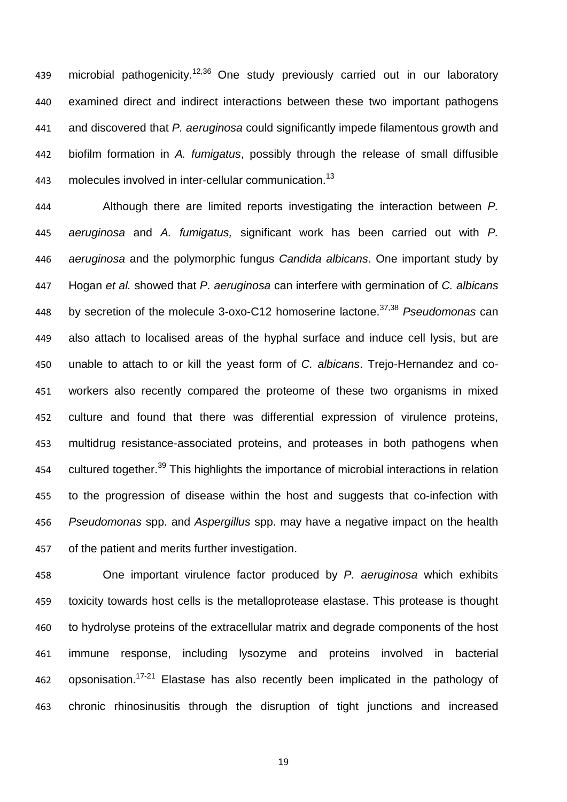439 microbial pathogenicity.<sup>12,36</sup> One study previously carried out in our laboratory examined direct and indirect interactions between these two important pathogens and discovered that *P. aeruginosa* could significantly impede filamentous growth and biofilm formation in *A. fumigatus*, possibly through the release of small diffusible 443 molecules involved in inter-cellular communication.<sup>13</sup>

 Although there are limited reports investigating the interaction between *P. aeruginosa* and *A. fumigatus,* significant work has been carried out with *P. aeruginosa* and the polymorphic fungus *Candida albicans*. One important study by Hogan *et al.* showed that *P. aeruginosa* can interfere with germination of *C. albicans* by secretion of the molecule 3-oxo-C12 homoserine lactone. 37,38 *Pseudomonas* can also attach to localised areas of the hyphal surface and induce cell lysis, but are unable to attach to or kill the yeast form of *C. albicans*. Trejo-Hernandez and co- workers also recently compared the proteome of these two organisms in mixed culture and found that there was differential expression of virulence proteins, multidrug resistance-associated proteins, and proteases in both pathogens when 454 cultured together.<sup>39</sup> This highlights the importance of microbial interactions in relation to the progression of disease within the host and suggests that co-infection with *Pseudomonas* spp. and *Aspergillus* spp. may have a negative impact on the health of the patient and merits further investigation.

 One important virulence factor produced by *P. aeruginosa* which exhibits toxicity towards host cells is the metalloprotease elastase. This protease is thought to hydrolyse proteins of the extracellular matrix and degrade components of the host immune response, including lysozyme and proteins involved in bacterial 462 opsonisation.<sup>17-21</sup> Elastase has also recently been implicated in the pathology of chronic rhinosinusitis through the disruption of tight junctions and increased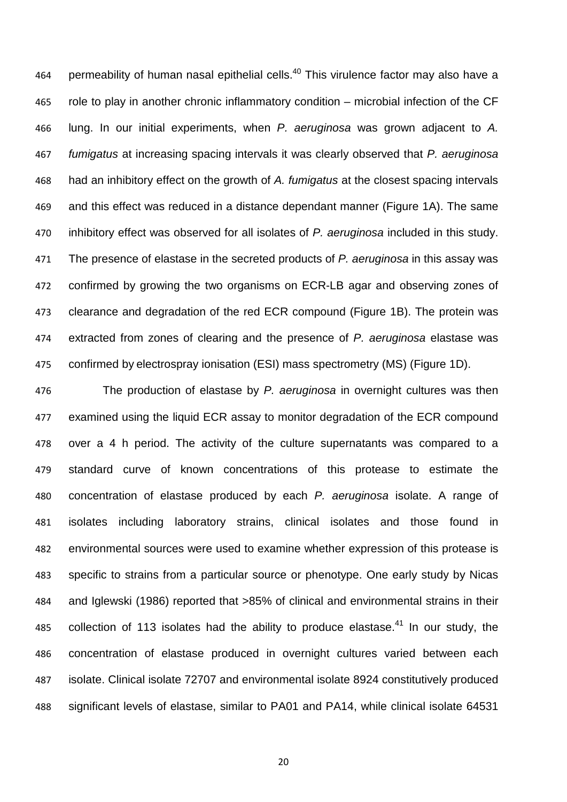464 permeability of human nasal epithelial cells.<sup>40</sup> This virulence factor may also have a role to play in another chronic inflammatory condition – microbial infection of the CF lung. In our initial experiments, when *P. aeruginosa* was grown adjacent to *A. fumigatus* at increasing spacing intervals it was clearly observed that *P. aeruginosa* had an inhibitory effect on the growth of *A. fumigatus* at the closest spacing intervals and this effect was reduced in a distance dependant manner (Figure 1A). The same inhibitory effect was observed for all isolates of *P. aeruginosa* included in this study. The presence of elastase in the secreted products of *P. aeruginosa* in this assay was confirmed by growing the two organisms on ECR-LB agar and observing zones of clearance and degradation of the red ECR compound (Figure 1B). The protein was extracted from zones of clearing and the presence of *P. aeruginosa* elastase was confirmed by electrospray ionisation (ESI) mass spectrometry (MS) (Figure 1D).

 The production of elastase by *P. aeruginosa* in overnight cultures was then examined using the liquid ECR assay to monitor degradation of the ECR compound over a 4 h period. The activity of the culture supernatants was compared to a standard curve of known concentrations of this protease to estimate the concentration of elastase produced by each *P. aeruginosa* isolate. A range of isolates including laboratory strains, clinical isolates and those found in environmental sources were used to examine whether expression of this protease is specific to strains from a particular source or phenotype. One early study by Nicas and Iglewski (1986) reported that >85% of clinical and environmental strains in their 485 collection of 113 isolates had the ability to produce elastase. In our study, the concentration of elastase produced in overnight cultures varied between each isolate. Clinical isolate 72707 and environmental isolate 8924 constitutively produced significant levels of elastase, similar to PA01 and PA14, while clinical isolate 64531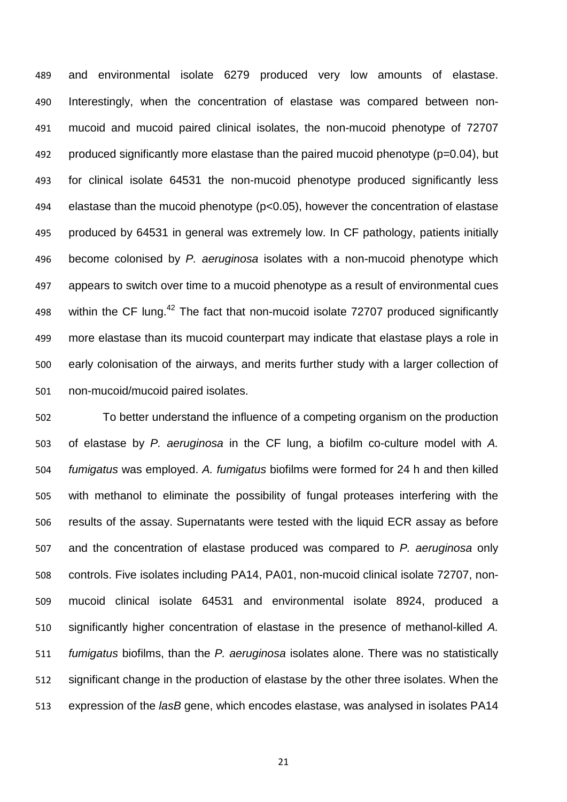and environmental isolate 6279 produced very low amounts of elastase. Interestingly, when the concentration of elastase was compared between non- mucoid and mucoid paired clinical isolates, the non-mucoid phenotype of 72707 produced significantly more elastase than the paired mucoid phenotype (p=0.04), but for clinical isolate 64531 the non-mucoid phenotype produced significantly less elastase than the mucoid phenotype (p<0.05), however the concentration of elastase produced by 64531 in general was extremely low. In CF pathology, patients initially become colonised by *P. aeruginosa* isolates with a non-mucoid phenotype which appears to switch over time to a mucoid phenotype as a result of environmental cues 498 vithin the CF lung.<sup>42</sup> The fact that non-mucoid isolate 72707 produced significantly more elastase than its mucoid counterpart may indicate that elastase plays a role in early colonisation of the airways, and merits further study with a larger collection of non-mucoid/mucoid paired isolates.

 To better understand the influence of a competing organism on the production of elastase by *P. aeruginosa* in the CF lung, a biofilm co-culture model with *A. fumigatus* was employed. *A. fumigatus* biofilms were formed for 24 h and then killed with methanol to eliminate the possibility of fungal proteases interfering with the results of the assay. Supernatants were tested with the liquid ECR assay as before and the concentration of elastase produced was compared to *P. aeruginosa* only controls. Five isolates including PA14, PA01, non-mucoid clinical isolate 72707, non- mucoid clinical isolate 64531 and environmental isolate 8924, produced a significantly higher concentration of elastase in the presence of methanol-killed *A. fumigatus* biofilms, than the *P. aeruginosa* isolates alone. There was no statistically significant change in the production of elastase by the other three isolates. When the expression of the *lasB* gene, which encodes elastase, was analysed in isolates PA14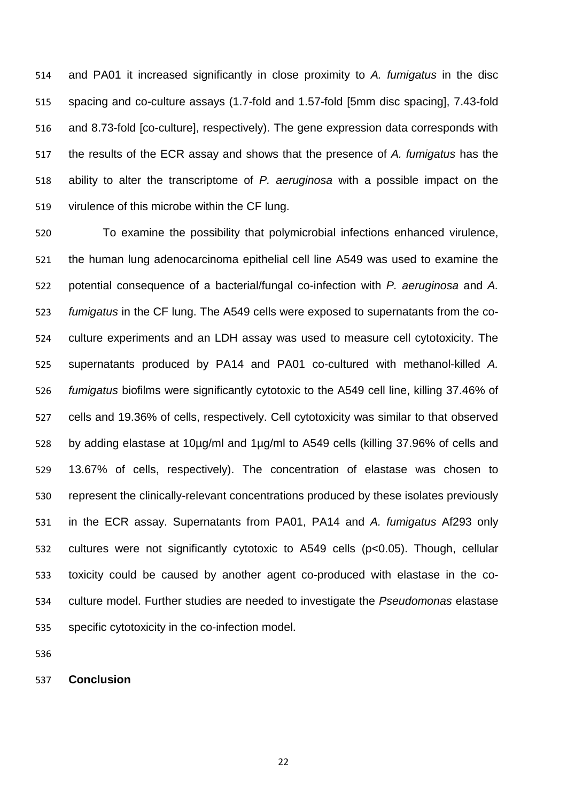and PA01 it increased significantly in close proximity to *A. fumigatus* in the disc spacing and co-culture assays (1.7-fold and 1.57-fold [5mm disc spacing], 7.43-fold and 8.73-fold [co-culture], respectively). The gene expression data corresponds with the results of the ECR assay and shows that the presence of *A. fumigatus* has the ability to alter the transcriptome of *P. aeruginosa* with a possible impact on the virulence of this microbe within the CF lung.

 To examine the possibility that polymicrobial infections enhanced virulence, the human lung adenocarcinoma epithelial cell line A549 was used to examine the potential consequence of a bacterial/fungal co-infection with *P. aeruginosa* and *A. fumigatus* in the CF lung. The A549 cells were exposed to supernatants from the co- culture experiments and an LDH assay was used to measure cell cytotoxicity. The supernatants produced by PA14 and PA01 co-cultured with methanol-killed *A. fumigatus* biofilms were significantly cytotoxic to the A549 cell line, killing 37.46% of cells and 19.36% of cells, respectively. Cell cytotoxicity was similar to that observed by adding elastase at 10µg/ml and 1µg/ml to A549 cells (killing 37.96% of cells and 13.67% of cells, respectively). The concentration of elastase was chosen to represent the clinically-relevant concentrations produced by these isolates previously in the ECR assay. Supernatants from PA01, PA14 and *A. fumigatus* Af293 only cultures were not significantly cytotoxic to A549 cells (p<0.05). Though, cellular toxicity could be caused by another agent co-produced with elastase in the co- culture model. Further studies are needed to investigate the *Pseudomonas* elastase specific cytotoxicity in the co-infection model.

**Conclusion**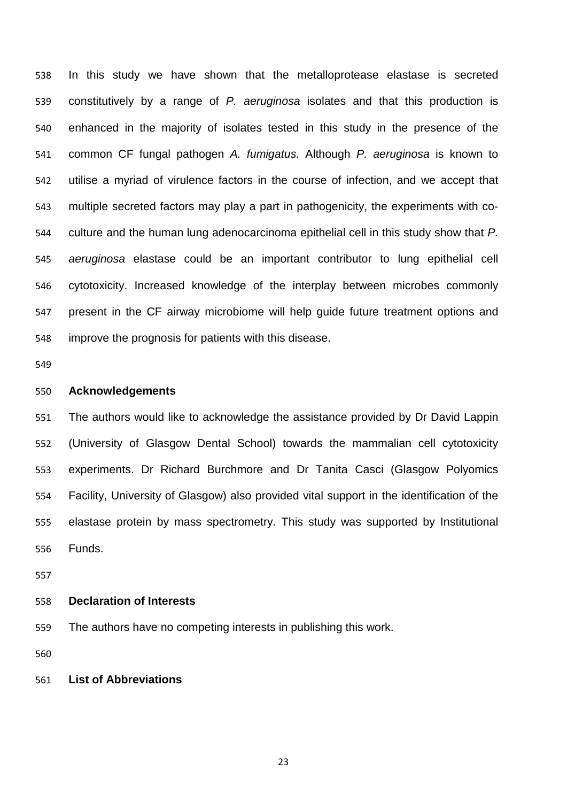In this study we have shown that the metalloprotease elastase is secreted constitutively by a range of *P. aeruginosa* isolates and that this production is enhanced in the majority of isolates tested in this study in the presence of the common CF fungal pathogen *A. fumigatus.* Although *P. aeruginosa* is known to utilise a myriad of virulence factors in the course of infection, and we accept that multiple secreted factors may play a part in pathogenicity, the experiments with co- culture and the human lung adenocarcinoma epithelial cell in this study show that *P. aeruginosa* elastase could be an important contributor to lung epithelial cell cytotoxicity. Increased knowledge of the interplay between microbes commonly present in the CF airway microbiome will help guide future treatment options and improve the prognosis for patients with this disease.

# **Acknowledgements**

 The authors would like to acknowledge the assistance provided by Dr David Lappin (University of Glasgow Dental School) towards the mammalian cell cytotoxicity experiments. Dr Richard Burchmore and Dr Tanita Casci (Glasgow Polyomics Facility, University of Glasgow) also provided vital support in the identification of the elastase protein by mass spectrometry. This study was supported by Institutional Funds.

# **Declaration of Interests**

The authors have no competing interests in publishing this work.

## **List of Abbreviations**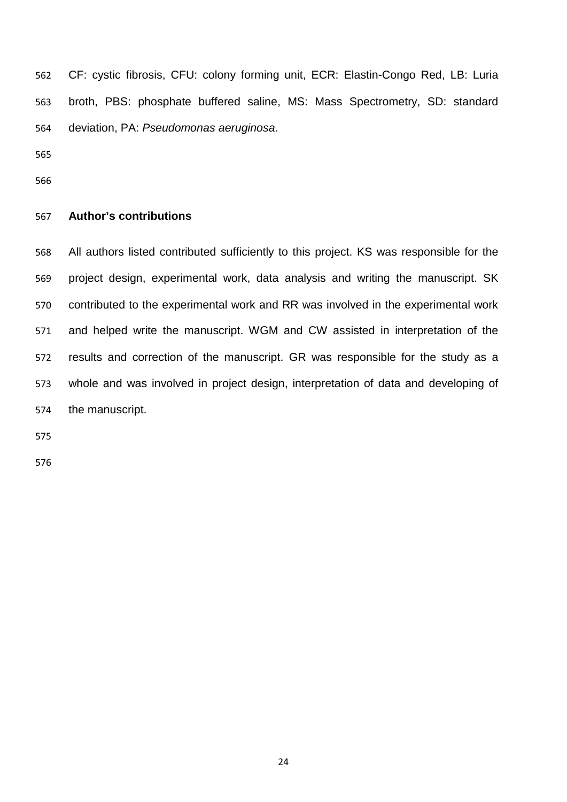CF: cystic fibrosis, CFU: colony forming unit, ECR: Elastin-Congo Red, LB: Luria broth, PBS: phosphate buffered saline, MS: Mass Spectrometry, SD: standard deviation, PA: *Pseudomonas aeruginosa*.

# **Author's contributions**

 All authors listed contributed sufficiently to this project. KS was responsible for the project design, experimental work, data analysis and writing the manuscript. SK contributed to the experimental work and RR was involved in the experimental work and helped write the manuscript. WGM and CW assisted in interpretation of the results and correction of the manuscript. GR was responsible for the study as a whole and was involved in project design, interpretation of data and developing of the manuscript.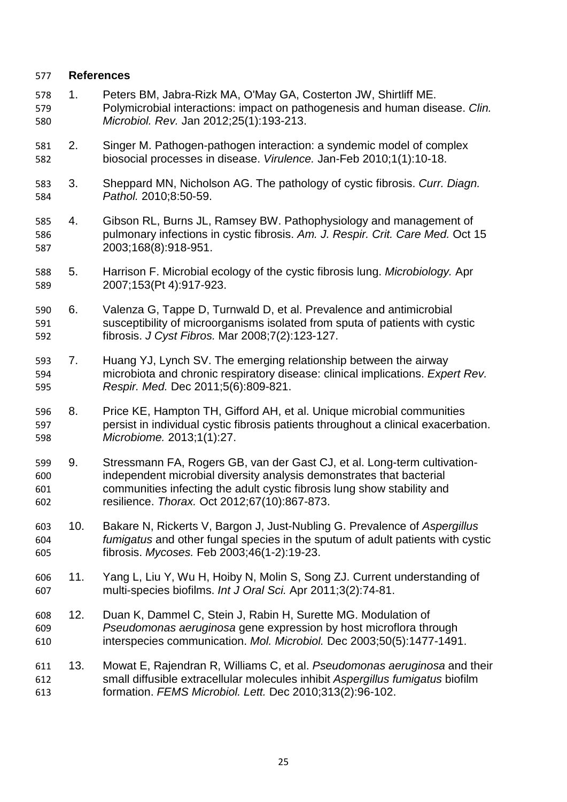# **References**

- 1. Peters BM, Jabra-Rizk MA, O'May GA, Costerton JW, Shirtliff ME. Polymicrobial interactions: impact on pathogenesis and human disease. *Clin. Microbiol. Rev.* Jan 2012;25(1):193-213.
- 2. Singer M. Pathogen-pathogen interaction: a syndemic model of complex biosocial processes in disease. *Virulence.* Jan-Feb 2010;1(1):10-18.
- 3. Sheppard MN, Nicholson AG. The pathology of cystic fibrosis. *Curr. Diagn. Pathol.* 2010;8:50-59.
- 4. Gibson RL, Burns JL, Ramsey BW. Pathophysiology and management of pulmonary infections in cystic fibrosis. *Am. J. Respir. Crit. Care Med.* Oct 15 2003;168(8):918-951.
- 5. Harrison F. Microbial ecology of the cystic fibrosis lung. *Microbiology.* Apr 2007;153(Pt 4):917-923.
- 6. Valenza G, Tappe D, Turnwald D, et al. Prevalence and antimicrobial susceptibility of microorganisms isolated from sputa of patients with cystic fibrosis. *J Cyst Fibros.* Mar 2008;7(2):123-127.
- 7. Huang YJ, Lynch SV. The emerging relationship between the airway microbiota and chronic respiratory disease: clinical implications. *Expert Rev. Respir. Med.* Dec 2011;5(6):809-821.
- 8. Price KE, Hampton TH, Gifford AH, et al. Unique microbial communities persist in individual cystic fibrosis patients throughout a clinical exacerbation. *Microbiome.* 2013;1(1):27.
- 9. Stressmann FA, Rogers GB, van der Gast CJ, et al. Long-term cultivation- independent microbial diversity analysis demonstrates that bacterial communities infecting the adult cystic fibrosis lung show stability and resilience. *Thorax.* Oct 2012;67(10):867-873.
- 10. Bakare N, Rickerts V, Bargon J, Just-Nubling G. Prevalence of *Aspergillus fumigatus* and other fungal species in the sputum of adult patients with cystic fibrosis. *Mycoses.* Feb 2003;46(1-2):19-23.
- 11. Yang L, Liu Y, Wu H, Hoiby N, Molin S, Song ZJ. Current understanding of multi-species biofilms. *Int J Oral Sci.* Apr 2011;3(2):74-81.
- 12. Duan K, Dammel C, Stein J, Rabin H, Surette MG. Modulation of *Pseudomonas aeruginosa* gene expression by host microflora through interspecies communication. *Mol. Microbiol.* Dec 2003;50(5):1477-1491.
- 13. Mowat E, Rajendran R, Williams C, et al. *Pseudomonas aeruginosa* and their small diffusible extracellular molecules inhibit *Aspergillus fumigatus* biofilm formation. *FEMS Microbiol. Lett.* Dec 2010;313(2):96-102.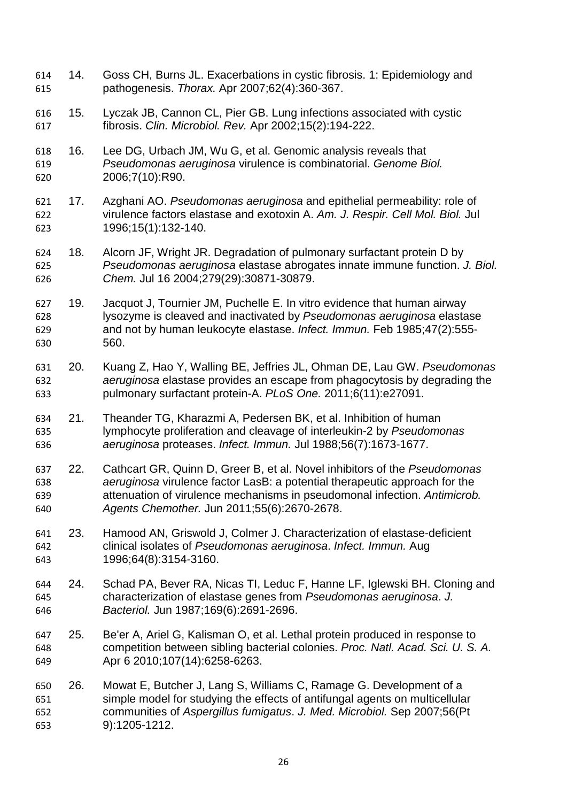- 14. Goss CH, Burns JL. Exacerbations in cystic fibrosis. 1: Epidemiology and pathogenesis. *Thorax.* Apr 2007;62(4):360-367.
- 15. Lyczak JB, Cannon CL, Pier GB. Lung infections associated with cystic fibrosis. *Clin. Microbiol. Rev.* Apr 2002;15(2):194-222.
- 16. Lee DG, Urbach JM, Wu G, et al. Genomic analysis reveals that *Pseudomonas aeruginosa* virulence is combinatorial. *Genome Biol.*  2006;7(10):R90.
- 17. Azghani AO. *Pseudomonas aeruginosa* and epithelial permeability: role of virulence factors elastase and exotoxin A. *Am. J. Respir. Cell Mol. Biol.* Jul 1996;15(1):132-140.
- 18. Alcorn JF, Wright JR. Degradation of pulmonary surfactant protein D by *Pseudomonas aeruginosa* elastase abrogates innate immune function. *J. Biol. Chem.* Jul 16 2004;279(29):30871-30879.
- 19. Jacquot J, Tournier JM, Puchelle E. In vitro evidence that human airway lysozyme is cleaved and inactivated by *Pseudomonas aeruginosa* elastase and not by human leukocyte elastase. *Infect. Immun.* Feb 1985;47(2):555- 560.
- 20. Kuang Z, Hao Y, Walling BE, Jeffries JL, Ohman DE, Lau GW. *Pseudomonas aeruginosa* elastase provides an escape from phagocytosis by degrading the pulmonary surfactant protein-A. *PLoS One.* 2011;6(11):e27091.
- 21. Theander TG, Kharazmi A, Pedersen BK, et al. Inhibition of human lymphocyte proliferation and cleavage of interleukin-2 by *Pseudomonas aeruginosa* proteases. *Infect. Immun.* Jul 1988;56(7):1673-1677.
- 22. Cathcart GR, Quinn D, Greer B, et al. Novel inhibitors of the *Pseudomonas aeruginosa* virulence factor LasB: a potential therapeutic approach for the attenuation of virulence mechanisms in pseudomonal infection. *Antimicrob. Agents Chemother.* Jun 2011;55(6):2670-2678.
- 23. Hamood AN, Griswold J, Colmer J. Characterization of elastase-deficient clinical isolates of *Pseudomonas aeruginosa*. *Infect. Immun.* Aug 1996;64(8):3154-3160.
- 24. Schad PA, Bever RA, Nicas TI, Leduc F, Hanne LF, Iglewski BH. Cloning and characterization of elastase genes from *Pseudomonas aeruginosa*. *J. Bacteriol.* Jun 1987;169(6):2691-2696.
- 25. Be'er A, Ariel G, Kalisman O, et al. Lethal protein produced in response to competition between sibling bacterial colonies. *Proc. Natl. Acad. Sci. U. S. A.*  Apr 6 2010;107(14):6258-6263.
- 26. Mowat E, Butcher J, Lang S, Williams C, Ramage G. Development of a simple model for studying the effects of antifungal agents on multicellular communities of *Aspergillus fumigatus*. *J. Med. Microbiol.* Sep 2007;56(Pt 9):1205-1212.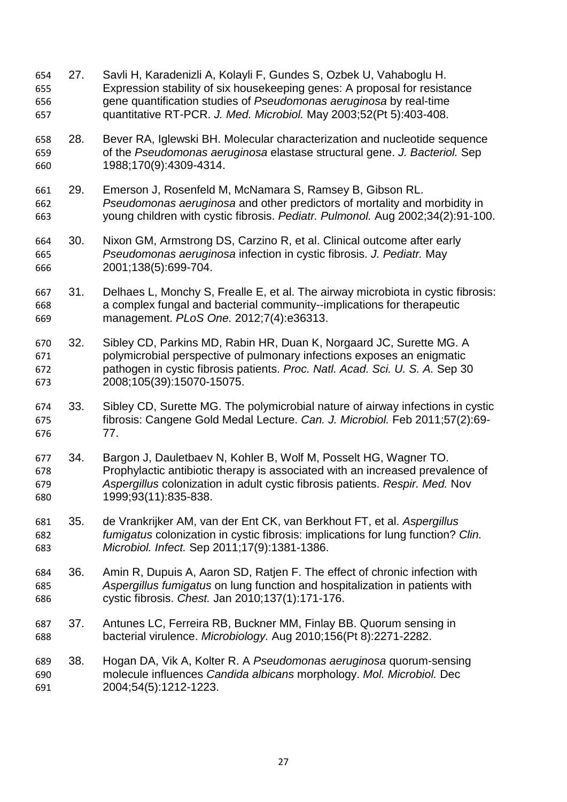- 27. Savli H, Karadenizli A, Kolayli F, Gundes S, Ozbek U, Vahaboglu H. Expression stability of six housekeeping genes: A proposal for resistance gene quantification studies of *Pseudomonas aeruginosa* by real-time quantitative RT-PCR. *J. Med. Microbiol.* May 2003;52(Pt 5):403-408.
- 28. Bever RA, Iglewski BH. Molecular characterization and nucleotide sequence of the *Pseudomonas aeruginosa* elastase structural gene. *J. Bacteriol.* Sep 1988;170(9):4309-4314.
- 29. Emerson J, Rosenfeld M, McNamara S, Ramsey B, Gibson RL. *Pseudomonas aeruginosa* and other predictors of mortality and morbidity in young children with cystic fibrosis. *Pediatr. Pulmonol.* Aug 2002;34(2):91-100.
- 30. Nixon GM, Armstrong DS, Carzino R, et al. Clinical outcome after early *Pseudomonas aeruginosa* infection in cystic fibrosis. *J. Pediatr.* May 2001;138(5):699-704.
- 31. Delhaes L, Monchy S, Frealle E, et al. The airway microbiota in cystic fibrosis: a complex fungal and bacterial community--implications for therapeutic management. *PLoS One.* 2012;7(4):e36313.
- 32. Sibley CD, Parkins MD, Rabin HR, Duan K, Norgaard JC, Surette MG. A polymicrobial perspective of pulmonary infections exposes an enigmatic pathogen in cystic fibrosis patients. *Proc. Natl. Acad. Sci. U. S. A.* Sep 30 2008;105(39):15070-15075.
- 33. Sibley CD, Surette MG. The polymicrobial nature of airway infections in cystic fibrosis: Cangene Gold Medal Lecture. *Can. J. Microbiol.* Feb 2011;57(2):69-
- 34. Bargon J, Dauletbaev N, Kohler B, Wolf M, Posselt HG, Wagner TO. Prophylactic antibiotic therapy is associated with an increased prevalence of *Aspergillus* colonization in adult cystic fibrosis patients. *Respir. Med.* Nov 1999;93(11):835-838.
- 35. de Vrankrijker AM, van der Ent CK, van Berkhout FT, et al. *Aspergillus fumigatus* colonization in cystic fibrosis: implications for lung function? *Clin. Microbiol. Infect.* Sep 2011;17(9):1381-1386.
- 36. Amin R, Dupuis A, Aaron SD, Ratjen F. The effect of chronic infection with *Aspergillus fumigatus* on lung function and hospitalization in patients with cystic fibrosis. *Chest.* Jan 2010;137(1):171-176.
- 37. Antunes LC, Ferreira RB, Buckner MM, Finlay BB. Quorum sensing in bacterial virulence. *Microbiology.* Aug 2010;156(Pt 8):2271-2282.
- 38. Hogan DA, Vik A, Kolter R. A *Pseudomonas aeruginosa* quorum-sensing molecule influences *Candida albicans* morphology. *Mol. Microbiol.* Dec 2004;54(5):1212-1223.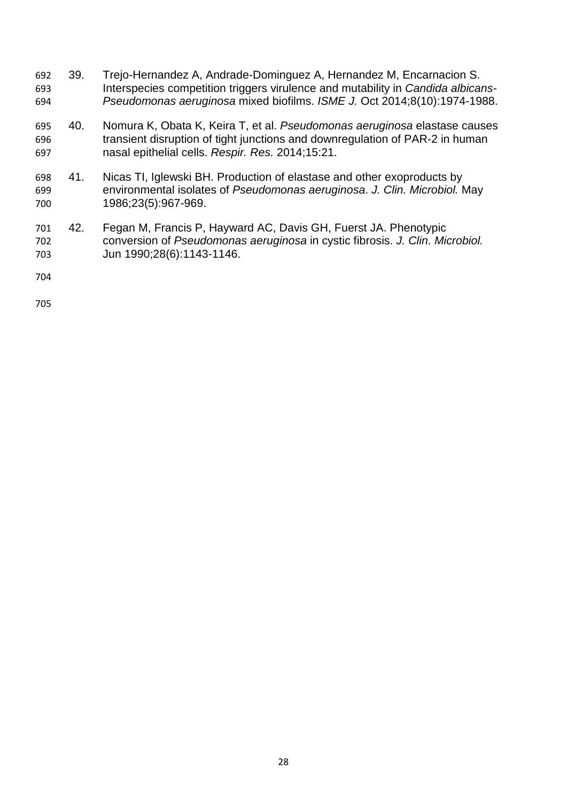- 39. Trejo-Hernandez A, Andrade-Dominguez A, Hernandez M, Encarnacion S. Interspecies competition triggers virulence and mutability in *Candida albicans-Pseudomonas aeruginosa* mixed biofilms. *ISME J.* Oct 2014;8(10):1974-1988.
- 40. Nomura K, Obata K, Keira T, et al. *Pseudomonas aeruginosa* elastase causes transient disruption of tight junctions and downregulation of PAR-2 in human nasal epithelial cells. *Respir. Res.* 2014;15:21.
- 41. Nicas TI, Iglewski BH. Production of elastase and other exoproducts by environmental isolates of *Pseudomonas aeruginosa*. *J. Clin. Microbiol.* May 1986;23(5):967-969.
- 42. Fegan M, Francis P, Hayward AC, Davis GH, Fuerst JA. Phenotypic conversion of *Pseudomonas aeruginosa* in cystic fibrosis. *J. Clin. Microbiol.*  Jun 1990;28(6):1143-1146.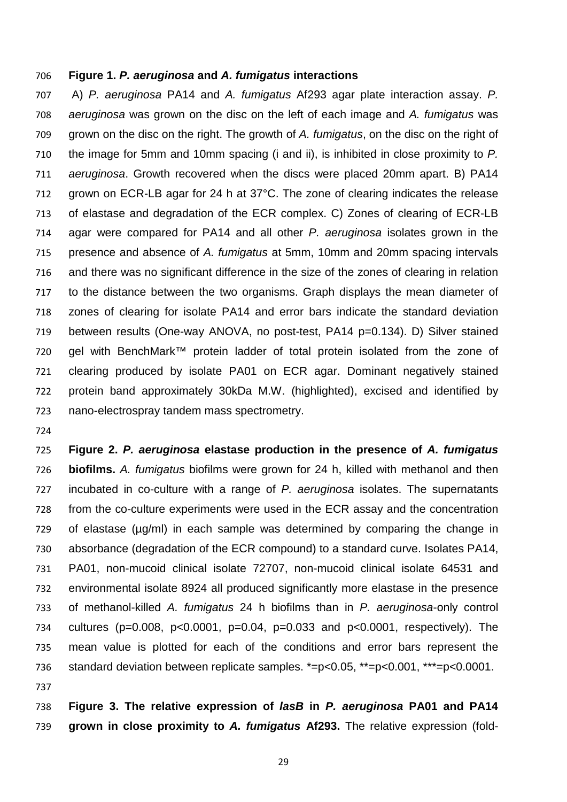## **Figure 1.** *P. aeruginosa* **and** *A. fumigatus* **interactions**

 A) *P. aeruginosa* PA14 and *A. fumigatus* Af293 agar plate interaction assay. *P. aeruginosa* was grown on the disc on the left of each image and *A. fumigatus* was grown on the disc on the right. The growth of *A. fumigatus*, on the disc on the right of the image for 5mm and 10mm spacing (i and ii), is inhibited in close proximity to *P. aeruginosa*. Growth recovered when the discs were placed 20mm apart. B) PA14 grown on ECR-LB agar for 24 h at 37°C. The zone of clearing indicates the release of elastase and degradation of the ECR complex. C) Zones of clearing of ECR-LB agar were compared for PA14 and all other *P. aeruginosa* isolates grown in the presence and absence of *A. fumigatus* at 5mm, 10mm and 20mm spacing intervals and there was no significant difference in the size of the zones of clearing in relation to the distance between the two organisms. Graph displays the mean diameter of zones of clearing for isolate PA14 and error bars indicate the standard deviation between results (One-way ANOVA, no post-test, PA14 p=0.134). D) Silver stained 720 gel with BenchMark™ protein ladder of total protein isolated from the zone of clearing produced by isolate PA01 on ECR agar. Dominant negatively stained protein band approximately 30kDa M.W. (highlighted), excised and identified by nano-electrospray tandem mass spectrometry.

 **Figure 2.** *P. aeruginosa* **elastase production in the presence of** *A. fumigatus* **biofilms.** *A. fumigatus* biofilms were grown for 24 h, killed with methanol and then incubated in co-culture with a range of *P. aeruginosa* isolates. The supernatants from the co-culture experiments were used in the ECR assay and the concentration of elastase (µg/ml) in each sample was determined by comparing the change in absorbance (degradation of the ECR compound) to a standard curve. Isolates PA14, PA01, non-mucoid clinical isolate 72707, non-mucoid clinical isolate 64531 and environmental isolate 8924 all produced significantly more elastase in the presence of methanol-killed *A. fumigatus* 24 h biofilms than in *P. aeruginosa*-only control cultures (p=0.008, p<0.0001, p=0.04, p=0.033 and p<0.0001, respectively). The mean value is plotted for each of the conditions and error bars represent the standard deviation between replicate samples. \*=p<0.05, \*\*=p<0.001, \*\*\*=p<0.0001. 

 **Figure 3. The relative expression of** *lasB* **in** *P. aeruginosa* **PA01 and PA14 grown in close proximity to** *A. fumigatus* **Af293.** The relative expression (fold-